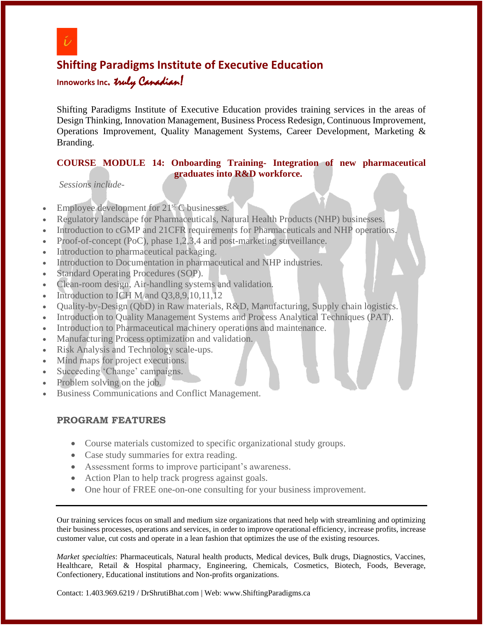

 $\overline{\phantom{a}}$ 

# **Shifting Paradigms Institute of Executive Education**

**Innoworks Inc**. truly Canadian!

Shifting Paradigms Institute of Executive Education provides training services in the areas of Design Thinking, Innovation Management, Business Process Redesign, Continuous Improvement, Operations Improvement, Quality Management Systems, Career Development, Marketing & Branding.

#### **COURSE MODULE 14: Onboarding Training- Integration of new pharmaceutical graduates into R&D workforce.**

*Sessions include-*

- Employee development for  $21<sup>st</sup>$  C businesses.
- Regulatory landscape for Pharmaceuticals, Natural Health Products (NHP) businesses.
- Introduction to cGMP and 21CFR requirements for Pharmaceuticals and NHP operations.
- Proof-of-concept (PoC), phase 1,2,3,4 and post-marketing surveillance.
- Introduction to pharmaceutical packaging.
- Introduction to Documentation in pharmaceutical and NHP industries.
- Standard Operating Procedures (SOP).
- Clean-room design, Air-handling systems and validation.
- Introduction to ICH M and O3,8,9,10,11,12
- Quality-by-Design (QbD) in Raw materials, R&D, Manufacturing, Supply chain logistics.
- Introduction to Quality Management Systems and Process Analytical Techniques (PAT).
- Introduction to Pharmaceutical machinery operations and maintenance.
- Manufacturing Process optimization and validation.
- Risk Analysis and Technology scale-ups.
- Mind maps for project executions.
- Succeeding 'Change' campaigns.
- Problem solving on the job.
- Business Communications and Conflict Management.

#### **PROGRAM FEATURES**

- Course materials customized to specific organizational study groups.
- Case study summaries for extra reading.
- Assessment forms to improve participant's awareness.
- Action Plan to help track progress against goals.
- One hour of FREE one-on-one consulting for your business improvement.

Our training services focus on small and medium size organizations that need help with streamlining and optimizing their business processes, operations and services, in order to improve operational efficiency, increase profits, increase customer value, cut costs and operate in a lean fashion that optimizes the use of the existing resources.

*Market specialties*: Pharmaceuticals, Natural health products, Medical devices, Bulk drugs, Diagnostics, Vaccines, Healthcare, Retail & Hospital pharmacy, Engineering, Chemicals, Cosmetics, Biotech, Foods, Beverage, Confectionery, Educational institutions and Non-profits organizations.

Contact: 1.403.969.6219 / DrShrutiBhat.com | Web: www.ShiftingParadigms.ca